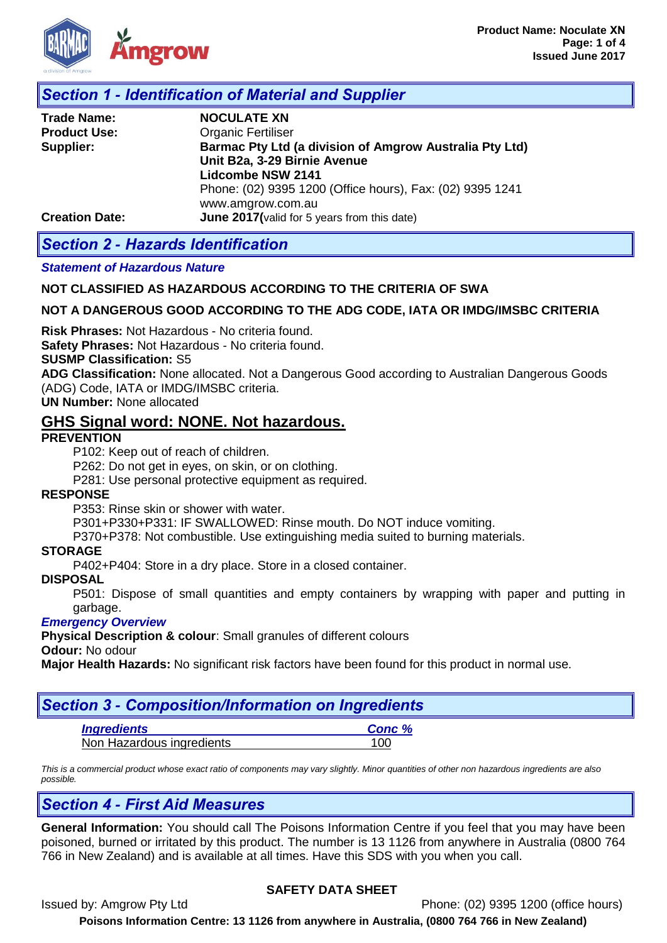

## *Section 1 - Identification of Material and Supplier*

| <b>Trade Name:</b>    | <b>NOCULATE XN</b>                                                                      |
|-----------------------|-----------------------------------------------------------------------------------------|
| <b>Product Use:</b>   | <b>Organic Fertiliser</b>                                                               |
| Supplier:             | Barmac Pty Ltd (a division of Amgrow Australia Pty Ltd)<br>Unit B2a, 3-29 Birnie Avenue |
|                       | <b>Lidcombe NSW 2141</b>                                                                |
|                       | Phone: (02) 9395 1200 (Office hours), Fax: (02) 9395 1241                               |
|                       | www.amgrow.com.au                                                                       |
| <b>Creation Date:</b> | <b>June 2017</b> (valid for 5 years from this date)                                     |

## *Section 2 - Hazards Identification*

### *Statement of Hazardous Nature*

### **NOT CLASSIFIED AS HAZARDOUS ACCORDING TO THE CRITERIA OF SWA**

### **NOT A DANGEROUS GOOD ACCORDING TO THE ADG CODE, IATA OR IMDG/IMSBC CRITERIA**

**Risk Phrases:** Not Hazardous - No criteria found.

**Safety Phrases:** Not Hazardous - No criteria found.

### **SUSMP Classification:** S5

**ADG Classification:** None allocated. Not a Dangerous Good according to Australian Dangerous Goods (ADG) Code, IATA or IMDG/IMSBC criteria.

**UN Number:** None allocated

### **GHS Signal word: NONE. Not hazardous.**

### **PREVENTION**

P102: Keep out of reach of children.

P262: Do not get in eyes, on skin, or on clothing.

P281: Use personal protective equipment as required.

### **RESPONSE**

P353: Rinse skin or shower with water.

P301+P330+P331: IF SWALLOWED: Rinse mouth. Do NOT induce vomiting.

P370+P378: Not combustible. Use extinguishing media suited to burning materials.

### **STORAGE**

P402+P404: Store in a dry place. Store in a closed container.

#### **DISPOSAL**

P501: Dispose of small quantities and empty containers by wrapping with paper and putting in garbage.

### *Emergency Overview*

**Physical Description & colour**: Small granules of different colours

#### **Odour:** No odour

**Major Health Hazards:** No significant risk factors have been found for this product in normal use.

## *Section 3 - Composition/Information on Ingredients*

| <b>Ingredients</b>        | Conc % |
|---------------------------|--------|
| Non Hazardous ingredients | 100    |

*This is a commercial product whose exact ratio of components may vary slightly. Minor quantities of other non hazardous ingredients are also possible.* 

### *Section 4 - First Aid Measures*

**General Information:** You should call The Poisons Information Centre if you feel that you may have been poisoned, burned or irritated by this product. The number is 13 1126 from anywhere in Australia (0800 764 766 in New Zealand) and is available at all times. Have this SDS with you when you call.

### **SAFETY DATA SHEET**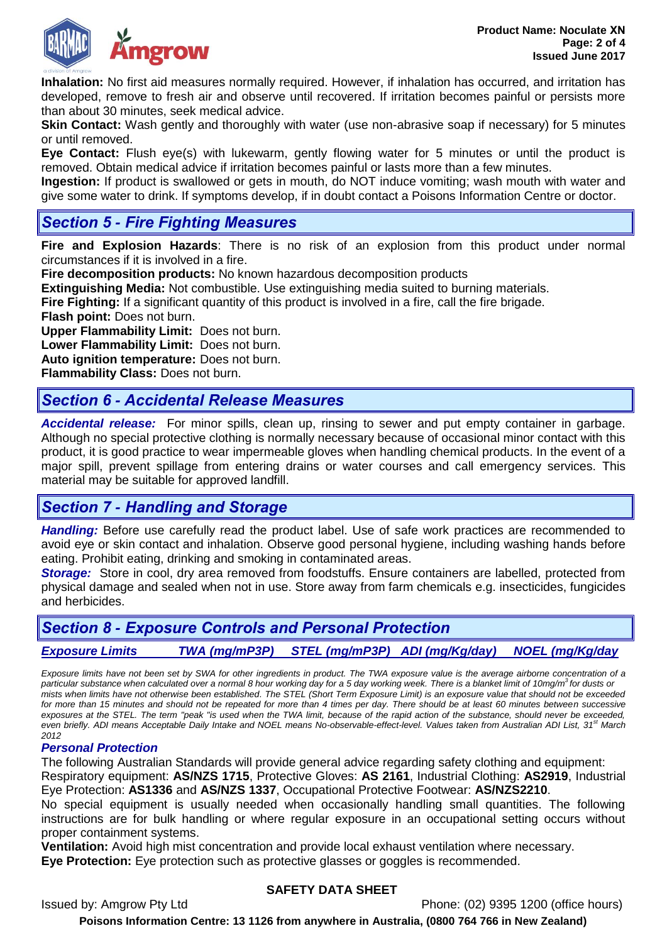

**Inhalation:** No first aid measures normally required. However, if inhalation has occurred, and irritation has developed, remove to fresh air and observe until recovered. If irritation becomes painful or persists more than about 30 minutes, seek medical advice.

**Skin Contact:** Wash gently and thoroughly with water (use non-abrasive soap if necessary) for 5 minutes or until removed.

**Eye Contact:** Flush eye(s) with lukewarm, gently flowing water for 5 minutes or until the product is removed. Obtain medical advice if irritation becomes painful or lasts more than a few minutes.

**Ingestion:** If product is swallowed or gets in mouth, do NOT induce vomiting; wash mouth with water and give some water to drink. If symptoms develop, if in doubt contact a Poisons Information Centre or doctor.

# *Section 5 - Fire Fighting Measures*

**Fire and Explosion Hazards**: There is no risk of an explosion from this product under normal circumstances if it is involved in a fire.

**Fire decomposition products:** No known hazardous decomposition products

**Extinguishing Media:** Not combustible. Use extinguishing media suited to burning materials. **Fire Fighting:** If a significant quantity of this product is involved in a fire, call the fire brigade. **Flash point:** Does not burn.

**Upper Flammability Limit:** Does not burn.

**Lower Flammability Limit:** Does not burn.

**Auto ignition temperature:** Does not burn.

**Flammability Class:** Does not burn.

## *Section 6 - Accidental Release Measures*

*Accidental release:* For minor spills, clean up, rinsing to sewer and put empty container in garbage. Although no special protective clothing is normally necessary because of occasional minor contact with this product, it is good practice to wear impermeable gloves when handling chemical products. In the event of a major spill, prevent spillage from entering drains or water courses and call emergency services. This material may be suitable for approved landfill.

# *Section 7 - Handling and Storage*

*Handling:* Before use carefully read the product label. Use of safe work practices are recommended to avoid eye or skin contact and inhalation. Observe good personal hygiene, including washing hands before eating. Prohibit eating, drinking and smoking in contaminated areas.

*Storage:* Store in cool, dry area removed from foodstuffs. Ensure containers are labelled, protected from physical damage and sealed when not in use. Store away from farm chemicals e.g. insecticides, fungicides and herbicides.

## *Section 8 - Exposure Controls and Personal Protection*

### *Exposure Limits TWA (mg/mP3P) STEL (mg/mP3P) ADI (mg/Kg/day) NOEL (mg/Kg/day*

*Exposure limits have not been set by SWA for other ingredients in product. The TWA exposure value is the average airborne concentration of a particular substance when calculated over a normal 8 hour working day for a 5 day working week. There is a blanket limit of 10mg/m<sup>3</sup>for dusts or mists when limits have not otherwise been established. The STEL (Short Term Exposure Limit) is an exposure value that should not be exceeded*  for more than 15 minutes and should not be repeated for more than 4 times per day. There should be at least 60 minutes between successive *exposures at the STEL. The term "peak "is used when the TWA limit, because of the rapid action of the substance, should never be exceeded, even briefly. ADI means Acceptable Daily Intake and NOEL means No-observable-effect-level. Values taken from Australian ADI List, 31st March 2012*

### *Personal Protection*

The following Australian Standards will provide general advice regarding safety clothing and equipment: Respiratory equipment: **AS/NZS 1715**, Protective Gloves: **AS 2161**, Industrial Clothing: **AS2919**, Industrial Eye Protection: **AS1336** and **AS/NZS 1337**, Occupational Protective Footwear: **AS/NZS2210**.

No special equipment is usually needed when occasionally handling small quantities. The following instructions are for bulk handling or where regular exposure in an occupational setting occurs without proper containment systems.

**Ventilation:** Avoid high mist concentration and provide local exhaust ventilation where necessary. **Eye Protection:** Eye protection such as protective glasses or goggles is recommended.

### **SAFETY DATA SHEET**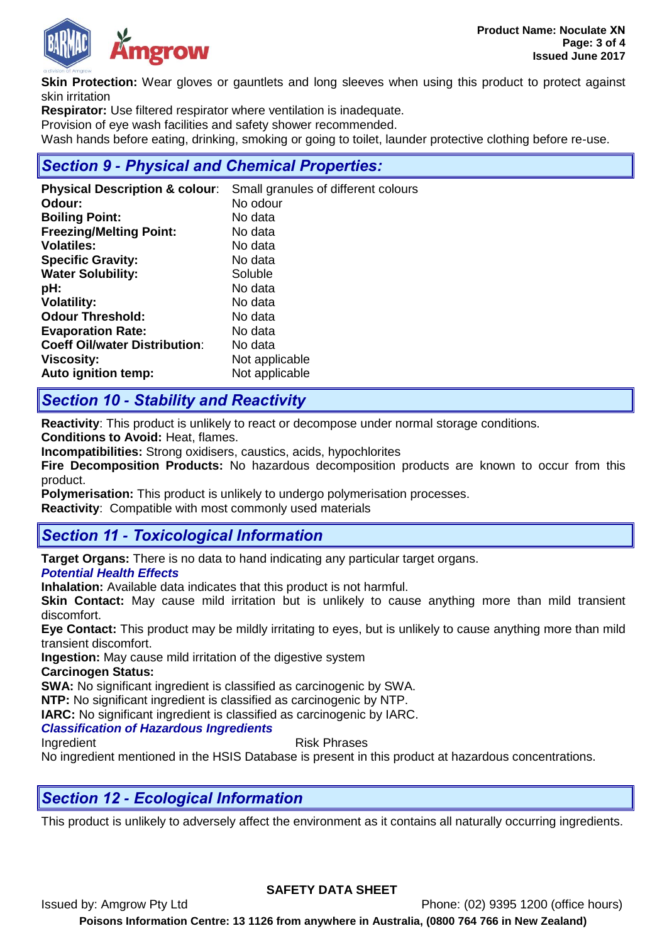

**Skin Protection:** Wear gloves or gauntlets and long sleeves when using this product to protect against skin irritation

**Respirator:** Use filtered respirator where ventilation is inadequate.

Provision of eye wash facilities and safety shower recommended.

Wash hands before eating, drinking, smoking or going to toilet, launder protective clothing before re-use.

## *Section 9 - Physical and Chemical Properties:*

| <b>Physical Description &amp; colour:</b> | Small granules of different colours |  |  |
|-------------------------------------------|-------------------------------------|--|--|
| Odour:                                    | No odour                            |  |  |
| <b>Boiling Point:</b>                     | No data                             |  |  |
| <b>Freezing/Melting Point:</b>            | No data                             |  |  |
| <b>Volatiles:</b>                         | No data                             |  |  |
| <b>Specific Gravity:</b>                  | No data                             |  |  |
| <b>Water Solubility:</b>                  | Soluble                             |  |  |
| pH:                                       | No data                             |  |  |
| <b>Volatility:</b>                        | No data                             |  |  |
| <b>Odour Threshold:</b>                   | No data                             |  |  |
| <b>Evaporation Rate:</b>                  | No data                             |  |  |
| <b>Coeff Oil/water Distribution:</b>      | No data                             |  |  |
| <b>Viscosity:</b>                         | Not applicable                      |  |  |
| Auto ignition temp:                       | Not applicable                      |  |  |

## *Section 10 - Stability and Reactivity*

**Reactivity**: This product is unlikely to react or decompose under normal storage conditions.

**Conditions to Avoid:** Heat, flames.

**Incompatibilities:** Strong oxidisers, caustics, acids, hypochlorites

**Fire Decomposition Products:** No hazardous decomposition products are known to occur from this product.

**Polymerisation:** This product is unlikely to undergo polymerisation processes.

**Reactivity**: Compatible with most commonly used materials

# *Section 11 - Toxicological Information*

**Target Organs:** There is no data to hand indicating any particular target organs.

### *Potential Health Effects*

**Inhalation:** Available data indicates that this product is not harmful.

**Skin Contact:** May cause mild irritation but is unlikely to cause anything more than mild transient discomfort.

**Eye Contact:** This product may be mildly irritating to eyes, but is unlikely to cause anything more than mild transient discomfort.

**Ingestion:** May cause mild irritation of the digestive system

### **Carcinogen Status:**

**SWA:** No significant ingredient is classified as carcinogenic by SWA.

**NTP:** No significant ingredient is classified as carcinogenic by NTP.

**IARC:** No significant ingredient is classified as carcinogenic by IARC.

### *Classification of Hazardous Ingredients*

Ingredient **Risk Phrases** 

No ingredient mentioned in the HSIS Database is present in this product at hazardous concentrations.

# *Section 12 - Ecological Information*

This product is unlikely to adversely affect the environment as it contains all naturally occurring ingredients.

### **SAFETY DATA SHEET**